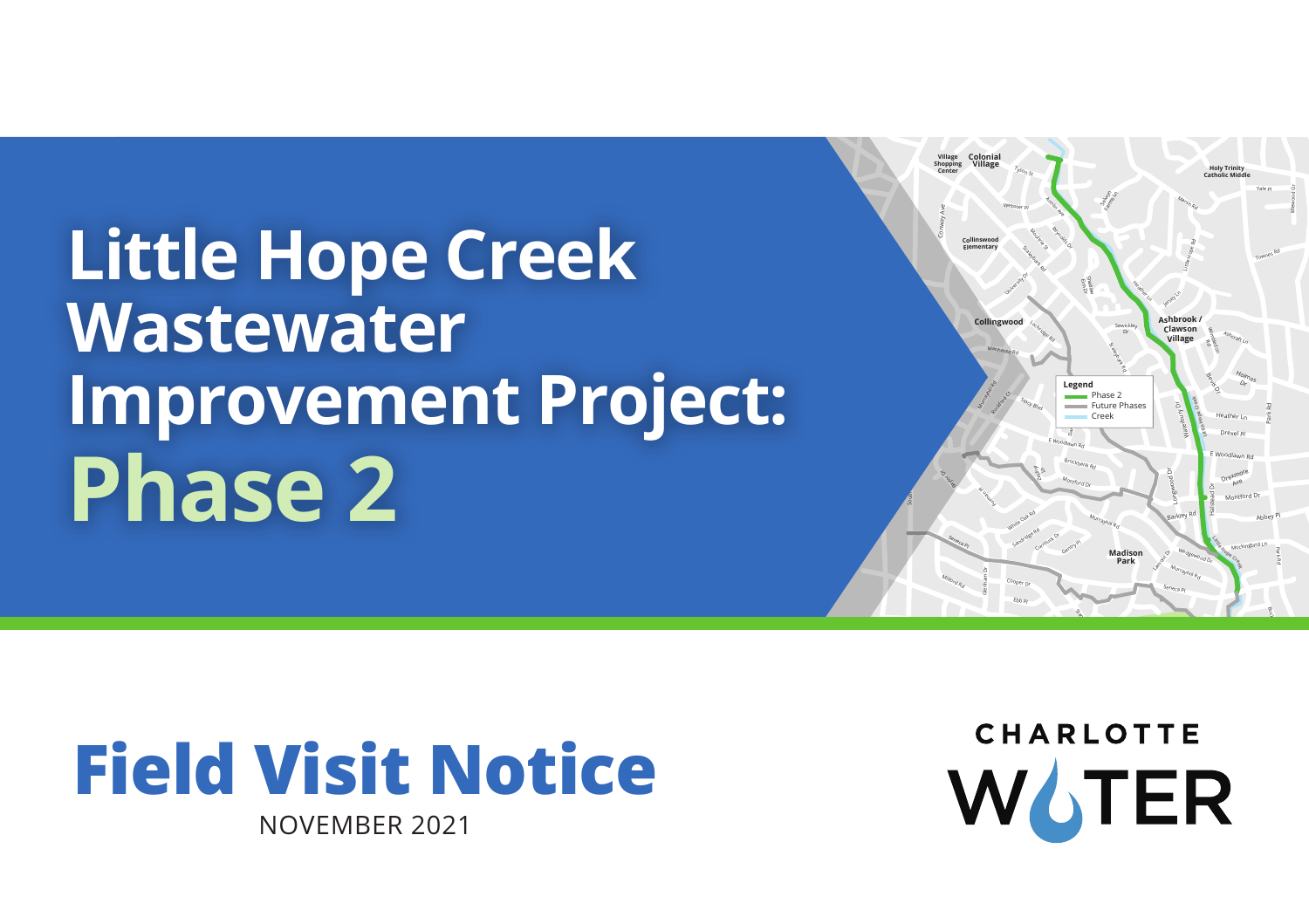**Little Hope Creek Wastewater Improvement Project: Phase 2** 





November 2021

**HARLOT** CHARLOTTE  $\overline{L}$